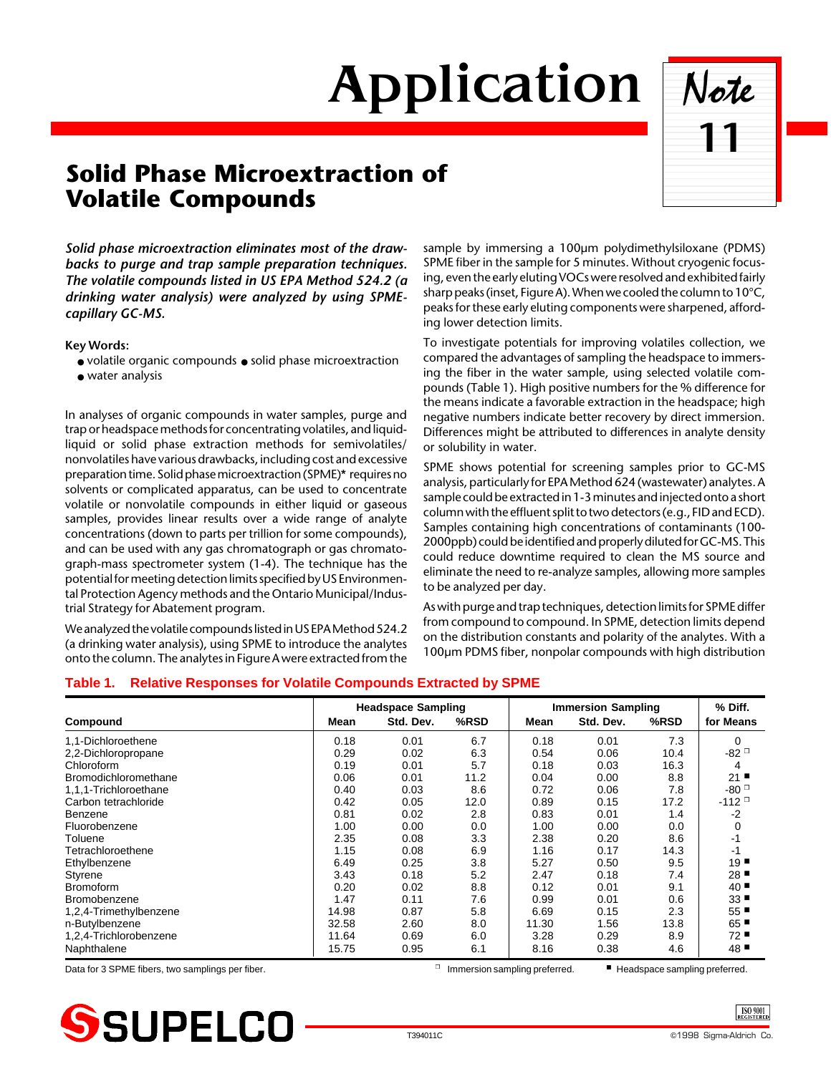# Application Note



# **Solid Phase Microextraction of Volatile Compounds**

*Solid phase microextraction eliminates most of the drawbacks to purge and trap sample preparation techniques. The volatile compounds listed in US EPA Method 524.2 (a drinking water analysis) were analyzed by using SPMEcapillary GC-MS.*

**Key Words:**

- volatile organic compounds solid phase microextraction
- water analysis

In analyses of organic compounds in water samples, purge and trap or headspace methods for concentrating volatiles, and liquidliquid or solid phase extraction methods for semivolatiles/ nonvolatiles have various drawbacks, including cost and excessive preparation time. Solid phase microextraction (SPME)**\*** requires no solvents or complicated apparatus, can be used to concentrate volatile or nonvolatile compounds in either liquid or gaseous samples, provides linear results over a wide range of analyte concentrations (down to parts per trillion for some compounds), and can be used with any gas chromatograph or gas chromatograph-mass spectrometer system (1-4). The technique has the potential for meeting detection limits specified by US Environmental Protection Agency methods and the Ontario Municipal/Industrial Strategy for Abatement program.

We analyzed the volatile compounds listed in US EPA Method 524.2 (a drinking water analysis), using SPME to introduce the analytes onto the column. The analytes in Figure A were extracted from the

sample by immersing a 100µm polydimethylsiloxane (PDMS) SPME fiber in the sample for 5 minutes. Without cryogenic focusing, even the early eluting VOCs were resolved and exhibited fairly sharp peaks (inset, Figure A). When we cooled the column to 10°C, peaks for these early eluting components were sharpened, affording lower detection limits.

To investigate potentials for improving volatiles collection, we compared the advantages of sampling the headspace to immersing the fiber in the water sample, using selected volatile compounds (Table 1). High positive numbers for the % difference for the means indicate a favorable extraction in the headspace; high negative numbers indicate better recovery by direct immersion. Differences might be attributed to differences in analyte density or solubility in water.

SPME shows potential for screening samples prior to GC-MS analysis, particularly for EPA Method 624 (wastewater) analytes. A sample could be extracted in 1-3 minutes and injected onto a short column with the effluent split to two detectors (e.g., FID and ECD). Samples containing high concentrations of contaminants (100- 2000ppb) could be identified and properly diluted for GC-MS. This could reduce downtime required to clean the MS source and eliminate the need to re-analyze samples, allowing more samples to be analyzed per day.

As with purge and trap techniques, detection limits for SPME differ from compound to compound. In SPME, detection limits depend on the distribution constants and polarity of the analytes. With a 100µm PDMS fiber, nonpolar compounds with high distribution

## **Table 1. Relative Responses for Volatile Compounds Extracted by SPME**

|                        | <b>Headspace Sampling</b> |           |      | <b>Immersion Sampling</b> |           |      | % Diff.                         |
|------------------------|---------------------------|-----------|------|---------------------------|-----------|------|---------------------------------|
| Compound               | Mean                      | Std. Dev. | %RSD | Mean                      | Std. Dev. | %RSD | for Means                       |
| 1.1-Dichloroethene     | 0.18                      | 0.01      | 6.7  | 0.18                      | 0.01      | 7.3  | $\Omega$                        |
| 2,2-Dichloropropane    | 0.29                      | 0.02      | 6.3  | 0.54                      | 0.06      | 10.4 | $-82$ <sup><math>-</math></sup> |
| Chloroform             | 0.19                      | 0.01      | 5.7  | 0.18                      | 0.03      | 16.3 | 4                               |
| Bromodichloromethane   | 0.06                      | 0.01      | 11.2 | 0.04                      | 0.00      | 8.8  | 21                              |
| 1,1,1-Trichloroethane  | 0.40                      | 0.03      | 8.6  | 0.72                      | 0.06      | 7.8  | $-80$ <sup><math>-</math></sup> |
| Carbon tetrachloride   | 0.42                      | 0.05      | 12.0 | 0.89                      | 0.15      | 17.2 | $-112$ <sup>D</sup>             |
| Benzene                | 0.81                      | 0.02      | 2.8  | 0.83                      | 0.01      | 1.4  | -2                              |
| Fluorobenzene          | 1.00                      | 0.00      | 0.0  | 1.00                      | 0.00      | 0.0  | 0                               |
| Toluene                | 2.35                      | 0.08      | 3.3  | 2.38                      | 0.20      | 8.6  | $-1$                            |
| Tetrachloroethene      | 1.15                      | 0.08      | 6.9  | 1.16                      | 0.17      | 14.3 | -1                              |
| Ethylbenzene           | 6.49                      | 0.25      | 3.8  | 5.27                      | 0.50      | 9.5  | $19$ $\blacksquare$             |
| Styrene                | 3.43                      | 0.18      | 5.2  | 2.47                      | 0.18      | 7.4  | 28                              |
| <b>Bromoform</b>       | 0.20                      | 0.02      | 8.8  | 0.12                      | 0.01      | 9.1  | 40                              |
| <b>Bromobenzene</b>    | 1.47                      | 0.11      | 7.6  | 0.99                      | 0.01      | 0.6  | 33                              |
| 1,2,4-Trimethylbenzene | 14.98                     | 0.87      | 5.8  | 6.69                      | 0.15      | 2.3  | 55                              |
| n-Butylbenzene         | 32.58                     | 2.60      | 8.0  | 11.30                     | 1.56      | 13.8 | 65                              |
| 1,2,4-Trichlorobenzene | 11.64                     | 0.69      | 6.0  | 3.28                      | 0.29      | 8.9  | 72                              |
| Naphthalene            | 15.75                     | 0.95      | 6.1  | 8.16                      | 0.38      | 4.6  | 48                              |

Data for 3 SPME fibers, two samplings per fiber. ◯ Immersion sampling preferred. ■ Headspace sampling preferred.



ISO 9001